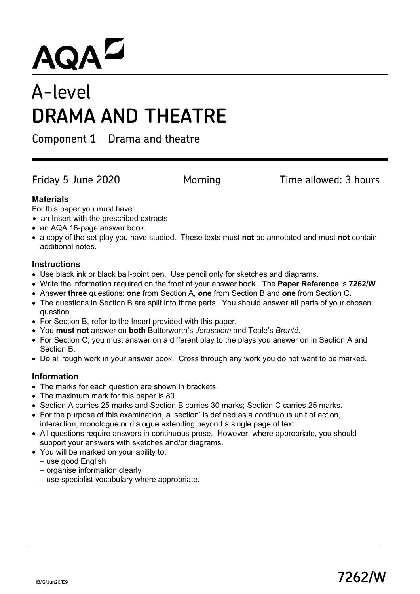# $AQA^Z$ <br>A-level

# **DRAMA AND THEATRE**

Component 1 Drama and theatre

Friday 5 June 2020 **Morning Time allowed: 3 hours** 

# **Materials**

For this paper you must have:

- an Insert with the prescribed extracts
- an AQA 16-page answer book
- a copy of the set play you have studied. These texts must **not** be annotated and must **not** contain additional notes.

# **Instructions**

- Use black ink or black ball-point pen. Use pencil only for sketches and diagrams.
- Write the information required on the front of your answer book. The **Paper Reference** is **7262/W**.
- Answer **three** questions: **one** from Section A, **one** from Section B and **one** from Section C.
- The questions in Section B are split into three parts. You should answer **all** parts of your chosen question.
- For Section B, refer to the Insert provided with this paper.
- You **must not** answer on **both** Butterworth's *Jerusalem* and Teale's *Brontë*.
- For Section C, you must answer on a different play to the plays you answer on in Section A and Section B.
- Do all rough work in your answer book. Cross through any work you do not want to be marked.

# **Information**

- The marks for each question are shown in brackets.
- The maximum mark for this paper is 80.
- Section A carries 25 marks and Section B carries 30 marks; Section C carries 25 marks.
- For the purpose of this examination, a 'section' is defined as a continuous unit of action, interaction, monologue or dialogue extending beyond a single page of text.
- All questions require answers in continuous prose. However, where appropriate, you should support your answers with sketches and/or diagrams.
- You will be marked on your ability to:
	- use good English
	- organise information clearly
	- use specialist vocabulary where appropriate.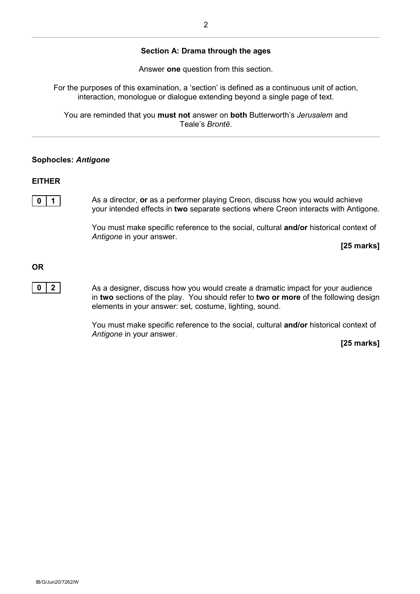Answer **one** question from this section.

For the purposes of this examination, a 'section' is defined as a continuous unit of action, interaction, monologue or dialogue extending beyond a single page of text.

You are reminded that you **must not** answer on **both** Butterworth's *Jerusalem* and Teale's *Brontë*.

#### **Sophocles:** *Antigone*

#### **EITHER**

**0** | **1** | As a director, **or** as a performer playing Creon, discuss how you would achieve your intended effects in **two** separate sections where Creon interacts with Antigone.

> You must make specific reference to the social, cultural **and/or** historical context of *Antigone* in your answer.

> > **[25 marks]**

**OR**

**0 2** As a designer, discuss how you would create a dramatic impact for your audience in **two** sections of the play. You should refer to **two or more** of the following design elements in your answer: set, costume, lighting, sound.

> You must make specific reference to the social, cultural **and/or** historical context of *Antigone* in your answer.

> > **[25 marks]**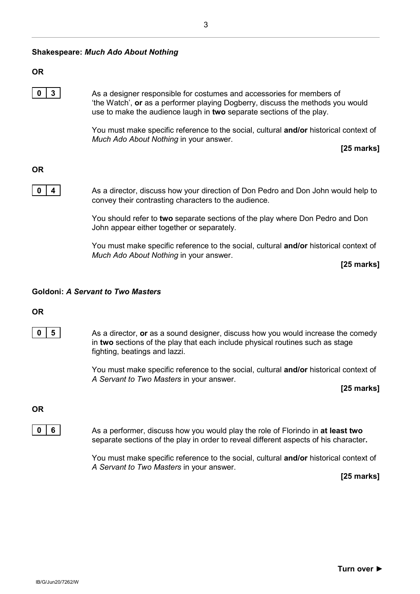#### **OR**

**0** | **3** | As a designer responsible for costumes and accessories for members of 'the Watch', **or** as a performer playing Dogberry, discuss the methods you would use to make the audience laugh in **two** separate sections of the play.

> You must make specific reference to the social, cultural **and/or** historical context of *Much Ado About Nothing* in your answer.

> > **[25 marks]**

# **OR**



**0 4** As a director, discuss how your direction of Don Pedro and Don John would help to convey their contrasting characters to the audience.

> You should refer to **two** separate sections of the play where Don Pedro and Don John appear either together or separately.

You must make specific reference to the social, cultural **and/or** historical context of *Much Ado About Nothing* in your answer.

**[25 marks]**

# **Goldoni:** *A Servant to Two Masters*

**OR**



You must make specific reference to the social, cultural **and/or** historical context of *A Servant to Two Masters* in your answer.

**[25 marks]**

#### **OR**



**0 6 6** As a performer, discuss how you would play the role of Florindo in **at least two** separate sections of the play in order to reveal different aspects of his character**.**

> You must make specific reference to the social, cultural **and/or** historical context of *A Servant to Two Masters* in your answer.

**[25 marks]**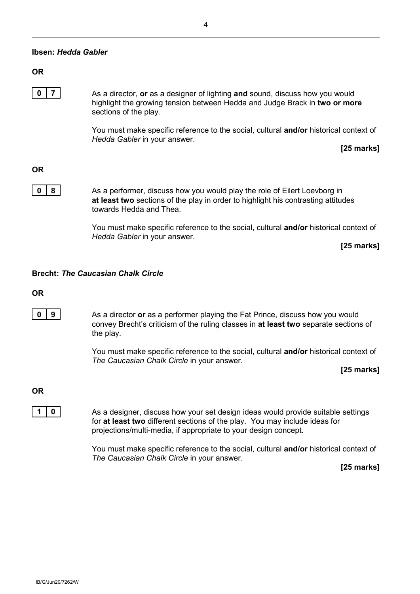# **OR**

**0** | **7** | As a director, **or** as a designer of lighting **and** sound, discuss how you would highlight the growing tension between Hedda and Judge Brack in **two or more** sections of the play.

> You must make specific reference to the social, cultural **and/or** historical context of *Hedda Gabler* in your answer.

> > **[25 marks]**

**OR**

**0** | **8** | As a performer, discuss how you would play the role of Eilert Loevborg in **at least two** sections of the play in order to highlight his contrasting attitudes towards Hedda and Thea.

> You must make specific reference to the social, cultural **and/or** historical context of *Hedda Gabler* in your answer.

**[25 marks]**

#### **Brecht:** *The Caucasian Chalk Circle*

#### **OR**

**0** | **9** | As a director **or** as a performer playing the Fat Prince, discuss how you would convey Brecht's criticism of the ruling classes in **at least two** separate sections of the play.

> You must make specific reference to the social, cultural **and/or** historical context of *The Caucasian Chalk Circle* in your answer.

> > **[25 marks]**

**OR**

**1** | **0** | As a designer, discuss how your set design ideas would provide suitable settings for **at least two** different sections of the play. You may include ideas for projections/multi-media, if appropriate to your design concept.

> You must make specific reference to the social, cultural **and/or** historical context of *The Caucasian Chalk Circle* in your answer.

> > **[25 marks]**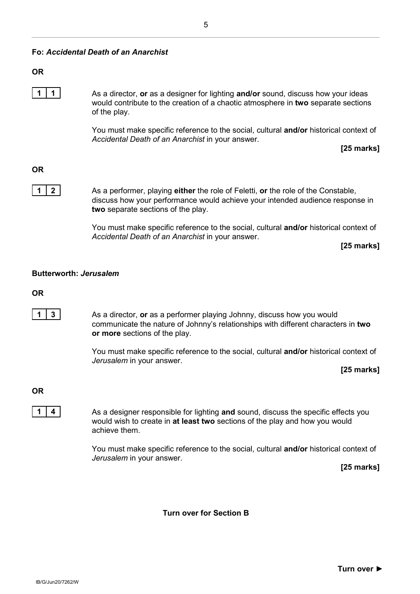# **Fo:** *Accidental Death of an Anarchist*

#### **OR**

**1 1** As a director, **or** as a designer for lighting **and/or** sound, discuss how your ideas would contribute to the creation of a chaotic atmosphere in **two** separate sections of the play.

> You must make specific reference to the social, cultural **and/or** historical context of *Accidental Death of an Anarchist* in your answer.

> > **[25 marks]**

# **OR**

**1** 2 **As a performer, playing either** the role of Feletti, **or** the role of the Constable, discuss how your performance would achieve your intended audience response in **two** separate sections of the play.

> You must make specific reference to the social, cultural **and/or** historical context of *Accidental Death of an Anarchist* in your answer.

**[25 marks]**

#### **Butterworth:** *Jerusalem*

#### **OR**

**1** | **3** | As a director, **or** as a performer playing Johnny, discuss how you would communicate the nature of Johnny's relationships with different characters in **two or more** sections of the play.

> You must make specific reference to the social, cultural **and/or** historical context of *Jerusalem* in your answer.

**[25 marks]**

#### **OR**

**1 4 4** As a designer responsible for lighting **and** sound, discuss the specific effects you would wish to create in **at least two** sections of the play and how you would achieve them.

> You must make specific reference to the social, cultural **and/or** historical context of *Jerusalem* in your answer.

> > **[25 marks]**

**Turn over for Section B**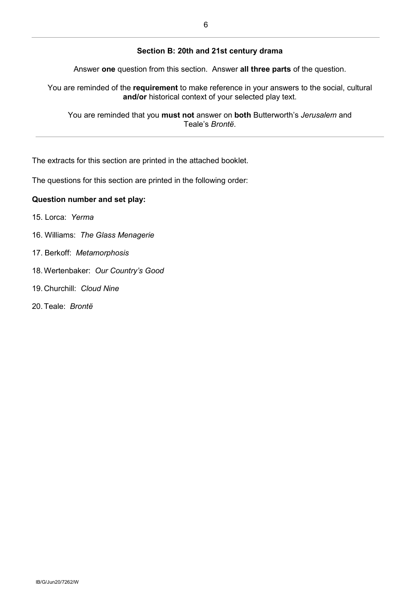#### **Section B: 20th and 21st century drama**

Answer **one** question from this section. Answer **all three parts** of the question.

You are reminded of the **requirement** to make reference in your answers to the social, cultural **and/or** historical context of your selected play text.

You are reminded that you **must not** answer on **both** Butterworth's *Jerusalem* and Teale's *Brontë*.

The extracts for this section are printed in the attached booklet.

The questions for this section are printed in the following order:

#### **Question number and set play:**

- 15. Lorca: *Yerma*
- 16. Williams: *The Glass Menagerie*
- 17. Berkoff: *Metamorphosis*
- 18.Wertenbaker: *Our Country's Good*
- 19. Churchill: *Cloud Nine*
- 20. Teale: *Brontë*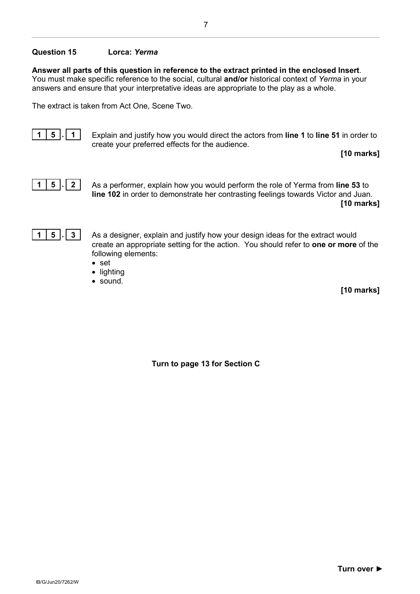#### **Question 15 Lorca:** *Yerma*

**Answer all parts of this question in reference to the extract printed in the enclosed Insert**. You must make specific reference to the social, cultural **and/or** historical context of *Yerma* in your answers and ensure that your interpretative ideas are appropriate to the play as a whole.

The extract is taken from Act One, Scene Two.



**1 5 . 1** Explain and justify how you would direct the actors from **line 1** to **line 51** in order to create your preferred effects for the audience.

**[10 marks]**



**1 5 . 2** As a performer, explain how you would perform the role of Yerma from **line 53** to **line 102** in order to demonstrate her contrasting feelings towards Victor and Juan.

**[10 marks]**



**1 5 . 3** As a designer, explain and justify how your design ideas for the extract would create an appropriate setting for the action. You should refer to **one or more** of the following elements:

- set
- lighting
- sound.

**[10 marks]**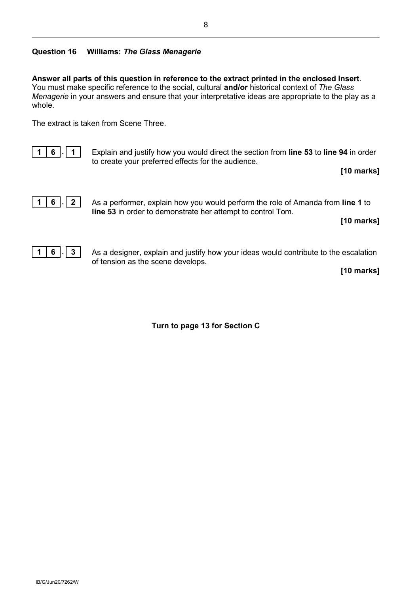# **Question 16 Williams:** *The Glass Menagerie*

**Answer all parts of this question in reference to the extract printed in the enclosed Insert**. You must make specific reference to the social, cultural **and/or** historical context of *The Glass Menagerie* in your answers and ensure that your interpretative ideas are appropriate to the play as a whole.

The extract is taken from Scene Three.



**1 6 . 1** Explain and justify how you would direct the section from **line 53** to **line 94** in order to create your preferred effects for the audience.

**[10 marks]**



**1 6 . 2** As a performer, explain how you would perform the role of Amanda from **line 1** to **line 53** in order to demonstrate her attempt to control Tom.

**[10 marks]**



**1 6 . 3** As a designer, explain and justify how your ideas would contribute to the escalation of tension as the scene develops.

**[10 marks]**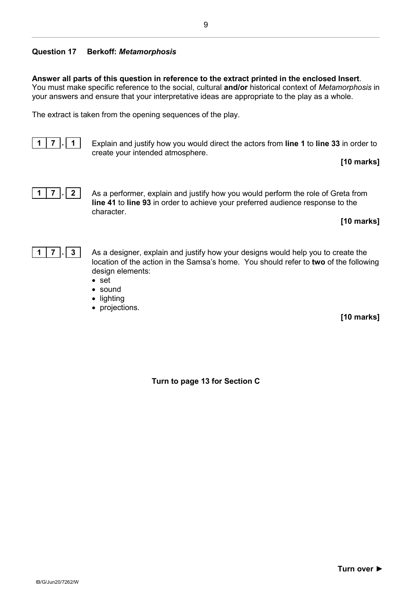# **Question 17 Berkoff:** *Metamorphosis*

**Answer all parts of this question in reference to the extract printed in the enclosed Insert**. You must make specific reference to the social, cultural **and/or** historical context of *Metamorphosis* in your answers and ensure that your interpretative ideas are appropriate to the play as a whole.

The extract is taken from the opening sequences of the play.



**1 7 . 1** Explain and justify how you would direct the actors from **line 1** to **line 33** in order to create your intended atmosphere.

**[10 marks]**



**1 7 . 2** As a performer, explain and justify how you would perform the role of Greta from **line 41** to **line 93** in order to achieve your preferred audience response to the character.

**[10 marks]**



**1 7 . 3** As a designer, explain and justify how your designs would help you to create the location of the action in the Samsa's home. You should refer to **two** of the following design elements:

- set
- sound
- lighting
- projections.

**[10 marks]**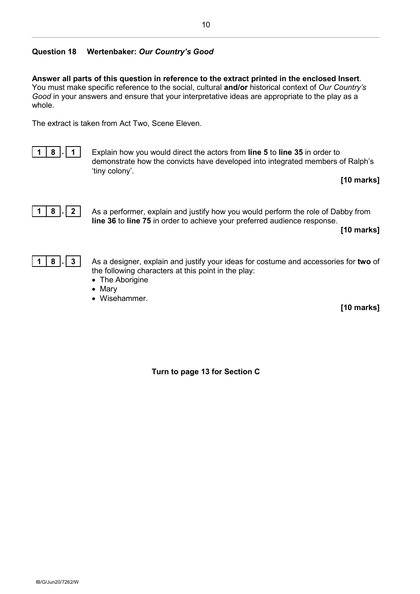# **Question 18 Wertenbaker:** *Our Country's Good*

**Answer all parts of this question in reference to the extract printed in the enclosed Insert**. You must make specific reference to the social, cultural **and/or** historical context of *Our Country's Good* in your answers and ensure that your interpretative ideas are appropriate to the play as a whole.

The extract is taken from Act Two, Scene Eleven.

$$
\boxed{1 \mid 8 \mid 1}
$$

**1 8 . 1** Explain how you would direct the actors from **line 5** to **line 35** in order to demonstrate how the convicts have developed into integrated members of Ralph's 'tiny colony'.

**[10 marks]**



**1 8 . 2** As a performer, explain and justify how you would perform the role of Dabby from **line 36** to **line 75** in order to achieve your preferred audience response.

**[10 marks]**

$$
\boxed{1 \mid 8 \mid . \mid 3}
$$

**1 8 . 3** As a designer, explain and justify your ideas for costume and accessories for **two** of the following characters at this point in the play:

- The Aborigine
- Mary
- Wisehammer.

**[10 marks]**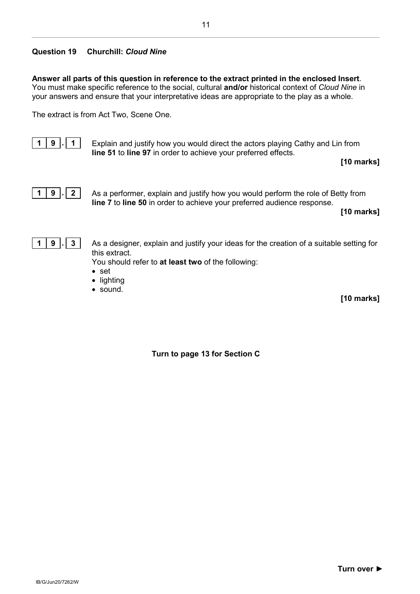# **Question 19 Churchill:** *Cloud Nine*

**Answer all parts of this question in reference to the extract printed in the enclosed Insert**. You must make specific reference to the social, cultural **and/or** historical context of *Cloud Nine* in your answers and ensure that your interpretative ideas are appropriate to the play as a whole.

The extract is from Act Two, Scene One.



**1 9 . 1** Explain and justify how you would direct the actors playing Cathy and Lin from **line 51** to **line 97** in order to achieve your preferred effects.

**[10 marks]**



**1 9 . 2** As a performer, explain and justify how you would perform the role of Betty from **line 7** to **line 50** in order to achieve your preferred audience response.

**[10 marks]**



**1 9 . 3** As a designer, explain and justify your ideas for the creation of a suitable setting for this extract.

You should refer to **at least two** of the following:

- set
- lighting
- sound.

**[10 marks]**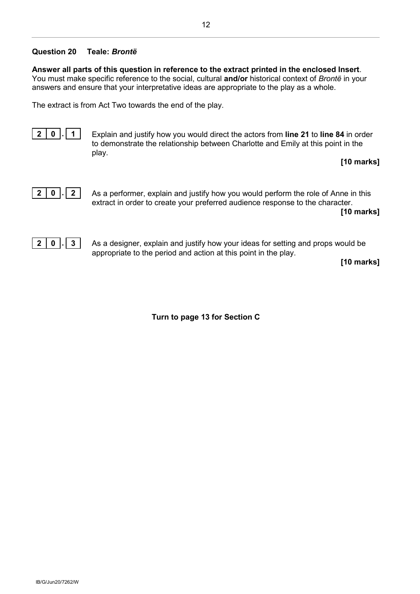#### **Question 20 Teale:** *Brontë*

**Answer all parts of this question in reference to the extract printed in the enclosed Insert**. You must make specific reference to the social, cultural **and/or** historical context of *Brontë* in your answers and ensure that your interpretative ideas are appropriate to the play as a whole.

The extract is from Act Two towards the end of the play.



**2 0 . 1** Explain and justify how you would direct the actors from **line 21** to **line 84** in order to demonstrate the relationship between Charlotte and Emily at this point in the play.

**[10 marks]**



**2 0 . 2** As a performer, explain and justify how you would perform the role of Anne in this extract in order to create your preferred audience response to the character.

**[10 marks]**



**2 0 . 3** As a designer, explain and justify how your ideas for setting and props would be appropriate to the period and action at this point in the play.

**[10 marks]**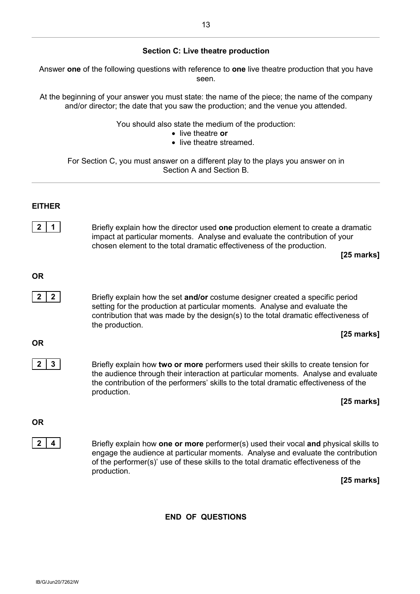#### **Section C: Live theatre production**

Answer **one** of the following questions with reference to **one** live theatre production that you have seen.

At the beginning of your answer you must state: the name of the piece; the name of the company and/or director; the date that you saw the production; and the venue you attended.

You should also state the medium of the production:

- live theatre **or**
- live theatre streamed.

For Section C, you must answer on a different play to the plays you answer on in Section A and Section B.

#### **EITHER**

| $2 \quad 1$ | Briefly explain how the director used one production element to create a dramatic |
|-------------|-----------------------------------------------------------------------------------|
|             | impact at particular moments. Analyse and evaluate the contribution of your       |
|             | chosen element to the total dramatic effectiveness of the production.             |

**[25 marks]**

#### **OR**

**2 2 2** Briefly explain how the set **and/or** costume designer created a specific period setting for the production at particular moments. Analyse and evaluate the contribution that was made by the design(s) to the total dramatic effectiveness of the production.

#### **[25 marks]**

#### **OR**

**2 3** Briefly explain how **two or more** performers used their skills to create tension for the audience through their interaction at particular moments. Analyse and evaluate the contribution of the performers' skills to the total dramatic effectiveness of the production.

**[25 marks]**

#### **OR**

**2 4** Briefly explain how **one or more** performer(s) used their vocal **and** physical skills to engage the audience at particular moments. Analyse and evaluate the contribution of the performer(s)' use of these skills to the total dramatic effectiveness of the production.

**[25 marks]**

#### **END OF QUESTIONS**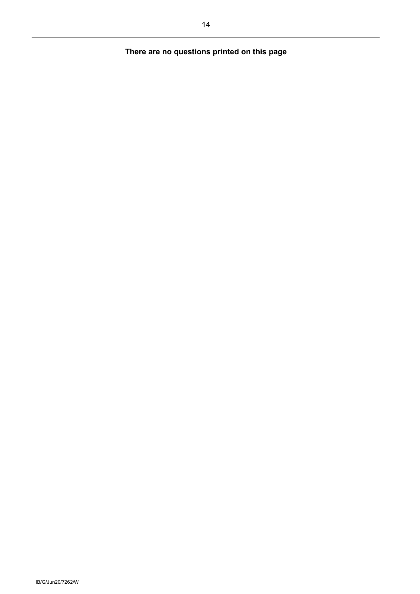# **There are no questions printed on this page**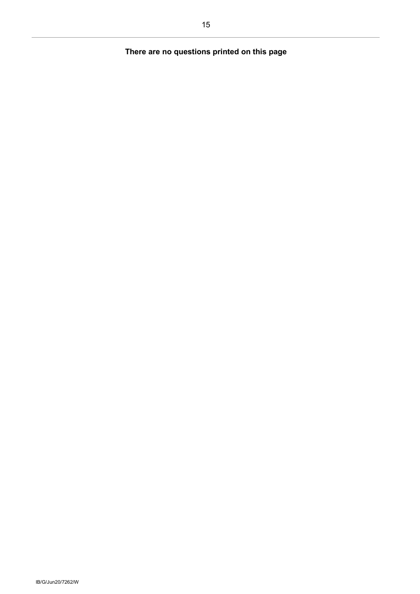# **There are no questions printed on this page**